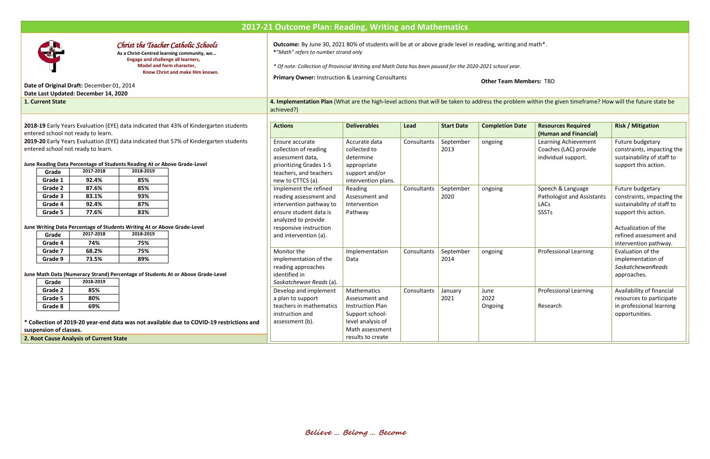# **2017-21 Outcome Plan: Reading, Writing and Mathematics**



## *Christ the Teacher Catholic Schools*

**As a Christ-Centred learning community, we… Engage and challenge all learners, Model and form character, Know Christ and make Him known.**

### **Date of Original Draft:** December 01, 2014 **Date Last Updated: December 14, 2020**

**Outcome:** By June 30, 2021 80% of students will be at or above grade level in reading, writing and math\*. **\****"Math" refers to number strand only*

**1. Current State 4. Implementation Plan** (What are the high-level actions that will be taken to address the problem within the given timeframe? How will the future state be achieved?)

2018-19 Early Years Evaluation (EYE) data indicated that 43% of Kindergarten studen entered school not ready to learn.

*\* Of note: Collection of Provincial Writing and Math Data has been paused for the 2020-2021 school year.*

2019-20 Early Years Evaluation (EYE) data indicated that 57% of Kindergarten studen entered school not ready to learn.

**Primary Owner:** Instruction & Learning Consultants

**Other Team Members:** TBD

\* Collection of 2019-20 year-end data was not available due to COVID-19 restrictio **suspension of classes.**

#### **June Reading Data Percentage of Students Reading At or Above Grade-Level**

| Grade   | 2017-2018 | 2018-2019 |
|---------|-----------|-----------|
| Grade 1 | 92.4%     | 85%       |
| Grade 2 | 87.6%     | 85%       |
| Grade 3 | 83.1%     | 93%       |
| Grade 4 | 92.4%     | 87%       |
| Grade 5 | 77.6%     | 83%       |

#### **June Writing Data Percentage of Students Writing At or Above Grade-Level**

| Grade   | 2017-2018 | 2018-2019 |
|---------|-----------|-----------|
| Grade 4 | 74%       | 75%       |
| Grade 7 | 68.2%     | 75%       |
| Grade 9 | 73.5%     | 89%       |

**June Math Data (Numeracy Strand) Percentage of Students At or Above Grade-Level**

| Grade   | 2018-2019 |  |  |
|---------|-----------|--|--|
| Grade 2 | 85%       |  |  |
| Grade 5 | 80%       |  |  |
| Grade 8 | 69%       |  |  |

| nts     | <b>Actions</b>                                                                                                                                                                 | <b>Deliverables</b>                                                                                                                             | Lead        | <b>Start Date</b> | <b>Completion Date</b>  | <b>Resources Required</b><br>(Human and Financial)                             | <b>Risk / Mitigation</b>                                                                                                                                                        |
|---------|--------------------------------------------------------------------------------------------------------------------------------------------------------------------------------|-------------------------------------------------------------------------------------------------------------------------------------------------|-------------|-------------------|-------------------------|--------------------------------------------------------------------------------|---------------------------------------------------------------------------------------------------------------------------------------------------------------------------------|
| nts     | Ensure accurate<br>collection of reading<br>assessment data,<br>prioritizing Grades 1-5<br>teachers, and teachers<br>new to CTTCS (a).                                         | Accurate data<br>collected to<br>determine<br>appropriate<br>support and/or<br>intervention plans.                                              | Consultants | September<br>2013 | ongoing                 | Learning Achievement<br>Coaches (LAC) provide<br>individual support.           | Future budgetary<br>constraints, impacting the<br>sustainability of staff to<br>support this action.                                                                            |
|         | Implement the refined<br>reading assessment and<br>intervention pathway to<br>ensure student data is<br>analyzed to provide<br>responsive instruction<br>and intervention (a). | Reading<br>Assessment and<br>Intervention<br>Pathway                                                                                            | Consultants | September<br>2020 | ongoing                 | Speech & Language<br><b>Pathologist and Assistants</b><br>LACs<br><b>SSSTs</b> | Future budgetary<br>constraints, impacting the<br>sustainability of staff to<br>support this action.<br>Actualization of the<br>refined assessment and<br>intervention pathway. |
|         | Monitor the<br>implementation of the<br>reading approaches<br>identified in<br>Saskatchewan Reads (a).                                                                         | Implementation<br>Data                                                                                                                          | Consultants | September<br>2014 | ongoing                 | <b>Professional Learning</b>                                                   | Evaluation of the<br>implementation of<br><b>SaskatchewanReads</b><br>approaches.                                                                                               |
| າກs and | Develop and implement<br>a plan to support<br>teachers in mathematics<br>instruction and<br>assessment (b).                                                                    | <b>Mathematics</b><br>Assessment and<br><b>Instruction Plan</b><br>Support school-<br>level analysis of<br>Math assessment<br>results to create | Consultants | January<br>2021   | June<br>2022<br>Ongoing | <b>Professional Learning</b><br>Research                                       | Availability of financial<br>resources to participate<br>in professional learning<br>opportunities.                                                                             |

**2. Root Cause Analysis of Current State**